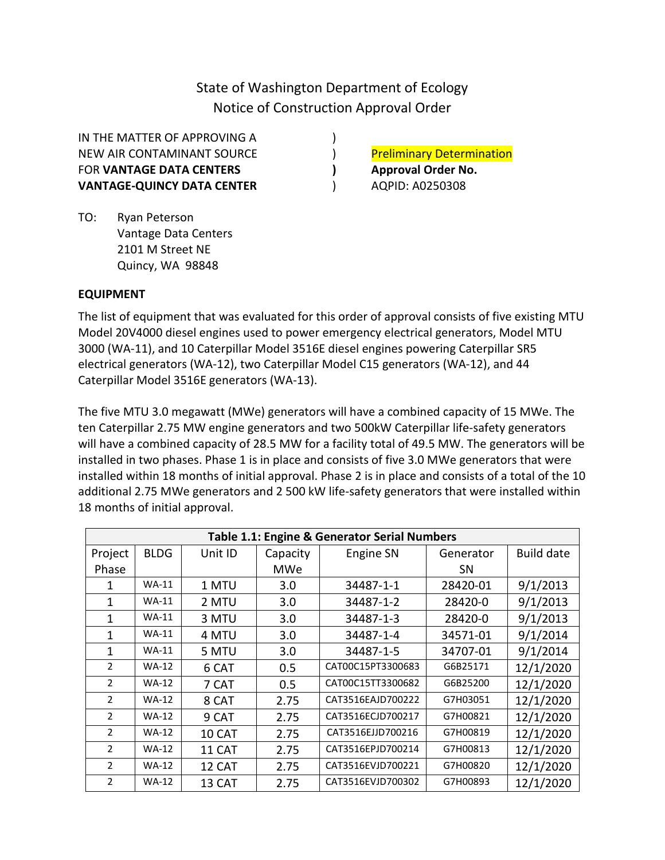State of Washington Department of Ecology Notice of Construction Approval Order

IN THE MATTER OF APPROVING A  $($ NEW AIR CONTAMINANT SOURCE (and the preliminary Determination FOR **VANTAGE DATA CENTERS** (and approval Order No. **VANTAGE-QUINCY DATA CENTER** (2008) AQPID: A0250308

TO: Ryan Peterson Vantage Data Centers 2101 M Street NE Quincy, WA 98848

## **EQUIPMENT**

The list of equipment that was evaluated for this order of approval consists of five existing MTU Model 20V4000 diesel engines used to power emergency electrical generators, Model MTU 3000 (WA-11), and 10 Caterpillar Model 3516E diesel engines powering Caterpillar SR5 electrical generators (WA-12), two Caterpillar Model C15 generators (WA-12), and 44 Caterpillar Model 3516E generators (WA-13).

The five MTU 3.0 megawatt (MWe) generators will have a combined capacity of 15 MWe. The ten Caterpillar 2.75 MW engine generators and two 500kW Caterpillar life-safety generators will have a combined capacity of 28.5 MW for a facility total of 49.5 MW. The generators will be installed in two phases. Phase 1 is in place and consists of five 3.0 MWe generators that were installed within 18 months of initial approval. Phase 2 is in place and consists of a total of the 10 additional 2.75 MWe generators and 2 500 kW life-safety generators that were installed within 18 months of initial approval.

| <b>Table 1.1: Engine &amp; Generator Serial Numbers</b> |              |         |            |                   |           |                   |  |  |
|---------------------------------------------------------|--------------|---------|------------|-------------------|-----------|-------------------|--|--|
| Project                                                 | <b>BLDG</b>  | Unit ID | Capacity   | <b>Engine SN</b>  | Generator | <b>Build date</b> |  |  |
| Phase                                                   |              |         | <b>MWe</b> |                   | SΝ        |                   |  |  |
| 1                                                       | $WA-11$      | 1 MTU   | 3.0        | 34487-1-1         | 28420-01  | 9/1/2013          |  |  |
| 1                                                       | <b>WA-11</b> | 2 MTU   | 3.0        | 34487-1-2         | 28420-0   | 9/1/2013          |  |  |
| 1                                                       | <b>WA-11</b> | 3 MTU   | 3.0        | 34487-1-3         | 28420-0   | 9/1/2013          |  |  |
| 1                                                       | <b>WA-11</b> | 4 MTU   | 3.0        | 34487-1-4         | 34571-01  | 9/1/2014          |  |  |
| 1                                                       | <b>WA-11</b> | 5 MTU   | 3.0        | 34487-1-5         | 34707-01  | 9/1/2014          |  |  |
| $\mathcal{P}$                                           | <b>WA-12</b> | 6 CAT   | 0.5        | CAT00C15PT3300683 | G6B25171  | 12/1/2020         |  |  |
| $\overline{2}$                                          | <b>WA-12</b> | 7 CAT   | 0.5        | CAT00C15TT3300682 | G6B25200  | 12/1/2020         |  |  |
| $\mathcal{P}$                                           | <b>WA-12</b> | 8 CAT   | 2.75       | CAT3516EAJD700222 | G7H03051  | 12/1/2020         |  |  |
| 2                                                       | <b>WA-12</b> | 9 CAT   | 2.75       | CAT3516ECJD700217 | G7H00821  | 12/1/2020         |  |  |
| $\overline{2}$                                          | <b>WA-12</b> | 10 CAT  | 2.75       | CAT3516EJJD700216 | G7H00819  | 12/1/2020         |  |  |
| $\mathcal{P}$                                           | <b>WA-12</b> | 11 CAT  | 2.75       | CAT3516EPJD700214 | G7H00813  | 12/1/2020         |  |  |
| $\mathcal{P}$                                           | <b>WA-12</b> | 12 CAT  | 2.75       | CAT3516EVJD700221 | G7H00820  | 12/1/2020         |  |  |
| $\mathcal{P}$                                           | <b>WA-12</b> | 13 CAT  | 2.75       | CAT3516EVJD700302 | G7H00893  | 12/1/2020         |  |  |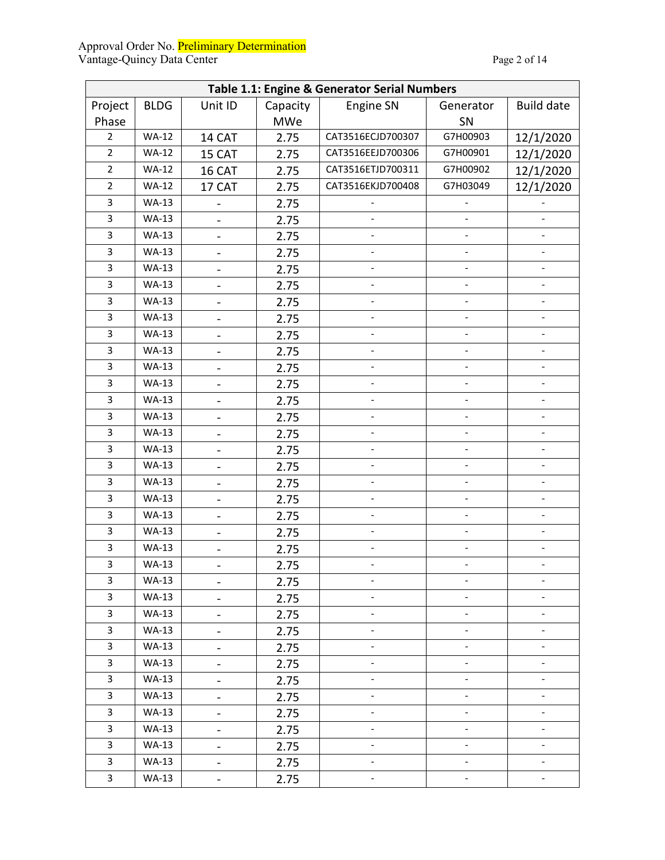#### Approval Order No. <mark>Preliminary Determination</mark> Vantage-Quincy Data Center **Page 2 of 14** Page 2 of 14

| Table 1.1: Engine & Generator Serial Numbers |              |                              |            |                               |                          |                          |  |
|----------------------------------------------|--------------|------------------------------|------------|-------------------------------|--------------------------|--------------------------|--|
| Project                                      | <b>BLDG</b>  | Unit ID                      | Capacity   | <b>Engine SN</b>              | Generator                | <b>Build date</b>        |  |
| Phase                                        |              |                              | <b>MWe</b> |                               | SN                       |                          |  |
| $\overline{2}$                               | <b>WA-12</b> | 14 CAT                       | 2.75       | CAT3516ECJD700307             | G7H00903                 | 12/1/2020                |  |
| $\overline{2}$                               | <b>WA-12</b> | 15 CAT                       | 2.75       | CAT3516EEJD700306             | G7H00901                 | 12/1/2020                |  |
| $\overline{2}$                               | <b>WA-12</b> | 16 CAT                       | 2.75       | CAT3516ETJD700311<br>G7H00902 |                          | 12/1/2020                |  |
| $\overline{2}$                               | <b>WA-12</b> | 17 CAT                       | 2.75       | CAT3516EKJD700408             | G7H03049                 | 12/1/2020                |  |
| 3                                            | <b>WA-13</b> | $\overline{\phantom{0}}$     | 2.75       |                               |                          |                          |  |
| 3                                            | <b>WA-13</b> | $\overline{\phantom{0}}$     | 2.75       |                               |                          |                          |  |
| 3                                            | <b>WA-13</b> | $\qquad \qquad -$            | 2.75       | $\frac{1}{2}$                 |                          | $\overline{\phantom{0}}$ |  |
| 3                                            | <b>WA-13</b> | $\qquad \qquad \blacksquare$ | 2.75       | $\blacksquare$                | $\overline{\phantom{a}}$ | $\overline{\phantom{a}}$ |  |
| 3                                            | <b>WA-13</b> | $\overline{\phantom{0}}$     | 2.75       | $\blacksquare$                |                          | $\qquad \qquad -$        |  |
| 3                                            | <b>WA-13</b> | $\qquad \qquad -$            | 2.75       | $\qquad \qquad \blacksquare$  |                          | $\overline{\phantom{a}}$ |  |
| 3                                            | <b>WA-13</b> | $\qquad \qquad -$            | 2.75       | $\blacksquare$                | $\blacksquare$           | $\qquad \qquad -$        |  |
| 3                                            | <b>WA-13</b> | $\blacksquare$               | 2.75       | $\blacksquare$                | $\overline{\phantom{a}}$ | $\overline{\phantom{a}}$ |  |
| 3                                            | <b>WA-13</b> | $\overline{\phantom{0}}$     | 2.75       | $\blacksquare$                | $\overline{\phantom{a}}$ | $\frac{1}{2}$            |  |
| 3                                            | <b>WA-13</b> | $\blacksquare$               | 2.75       | $\overline{\phantom{a}}$      | $\overline{\phantom{a}}$ | $\overline{\phantom{a}}$ |  |
| 3                                            | <b>WA-13</b> | $\overline{\phantom{0}}$     | 2.75       | $\blacksquare$                | $\overline{\phantom{a}}$ | $\overline{\phantom{a}}$ |  |
| 3                                            | <b>WA-13</b> | $\overline{a}$               | 2.75       | $\overline{\phantom{a}}$      | $\overline{\phantom{a}}$ | $\frac{1}{2}$            |  |
| 3                                            | <b>WA-13</b> | $\qquad \qquad \blacksquare$ | 2.75       | $\overline{\phantom{a}}$      | $\overline{\phantom{a}}$ | $\overline{\phantom{a}}$ |  |
| 3                                            | <b>WA-13</b> | $\qquad \qquad \blacksquare$ | 2.75       | $\blacksquare$                | $\blacksquare$           | $\blacksquare$           |  |
| 3                                            | <b>WA-13</b> | $\overline{\phantom{a}}$     | 2.75       | $\overline{\phantom{a}}$      | $\overline{\phantom{a}}$ | $\overline{\phantom{a}}$ |  |
| 3                                            | <b>WA-13</b> | $\overline{\phantom{0}}$     | 2.75       | $\blacksquare$                | $\overline{\phantom{a}}$ | $\overline{\phantom{0}}$ |  |
| 3                                            | <b>WA-13</b> | $\blacksquare$               | 2.75       | $\overline{\phantom{a}}$      | $\blacksquare$           | $\blacksquare$           |  |
| 3                                            | <b>WA-13</b> | $\qquad \qquad \blacksquare$ | 2.75       | $\frac{1}{2}$                 | $\frac{1}{2}$            | $\blacksquare$           |  |
| 3                                            | <b>WA-13</b> | $\overline{\phantom{a}}$     | 2.75       | $\frac{1}{2}$                 | $\blacksquare$           | $\blacksquare$           |  |
| $\overline{3}$                               | <b>WA-13</b> | $\overline{\phantom{0}}$     | 2.75       | $\overline{\phantom{0}}$      | $\overline{\phantom{0}}$ | $\overline{\phantom{0}}$ |  |
| 3                                            | <b>WA-13</b> | $\overline{\phantom{0}}$     | 2.75       | $\blacksquare$                | $\overline{\phantom{a}}$ | $\blacksquare$           |  |
| 3                                            | <b>WA-13</b> | $\overline{\phantom{0}}$     | 2.75       |                               |                          | $\overline{\phantom{0}}$ |  |
| $\overline{3}$                               | $WA-13$      |                              | 2.75       |                               |                          |                          |  |
| 3                                            | WA-13        | $\overline{\phantom{0}}$     | 2.75       | $\qquad \qquad \blacksquare$  |                          |                          |  |
| 3                                            | <b>WA-13</b> | $\qquad \qquad \blacksquare$ | 2.75       | $\blacksquare$                | $\overline{\phantom{a}}$ | $\overline{\phantom{a}}$ |  |
| 3                                            | <b>WA-13</b> | $\qquad \qquad \blacksquare$ | 2.75       | $\overline{\phantom{a}}$      | $\overline{\phantom{a}}$ | $\overline{\phantom{a}}$ |  |
| 3                                            | <b>WA-13</b> | $\overline{\phantom{0}}$     | 2.75       | $\blacksquare$                | $\blacksquare$           | $\blacksquare$           |  |
| 3                                            | <b>WA-13</b> | $\qquad \qquad \blacksquare$ | 2.75       | $\qquad \qquad \blacksquare$  | $\overline{\phantom{a}}$ | $\overline{\phantom{0}}$ |  |
| 3                                            | <b>WA-13</b> | $\overline{\phantom{0}}$     | 2.75       | $\blacksquare$                | $\overline{\phantom{a}}$ | $\blacksquare$           |  |
| 3                                            | <b>WA-13</b> | $\qquad \qquad \blacksquare$ | 2.75       | $\blacksquare$                | $\overline{\phantom{a}}$ | $\blacksquare$           |  |
| 3                                            | <b>WA-13</b> | $\overline{\phantom{0}}$     | 2.75       | $\blacksquare$                | $\overline{\phantom{a}}$ | $\overline{\phantom{a}}$ |  |
| 3                                            | WA-13        | $\qquad \qquad \blacksquare$ | 2.75       | $\overline{\phantom{a}}$      | $\overline{\phantom{a}}$ | $\overline{\phantom{a}}$ |  |
| 3                                            | <b>WA-13</b> | $\qquad \qquad -$            | 2.75       | $\overline{\phantom{a}}$      | $\overline{\phantom{a}}$ | $\overline{\phantom{0}}$ |  |
| 3                                            | WA-13        | $\blacksquare$               | 2.75       | $\overline{\phantom{a}}$      | $\overline{\phantom{a}}$ | $\overline{\phantom{a}}$ |  |
| 3                                            | <b>WA-13</b> | $\blacksquare$               | 2.75       | $\overline{\phantom{a}}$      | $\blacksquare$           | $\Box$                   |  |
| 3                                            | <b>WA-13</b> | $\blacksquare$               | 2.75       | $\overline{\phantom{a}}$      | $\overline{\phantom{a}}$ | $\overline{\phantom{a}}$ |  |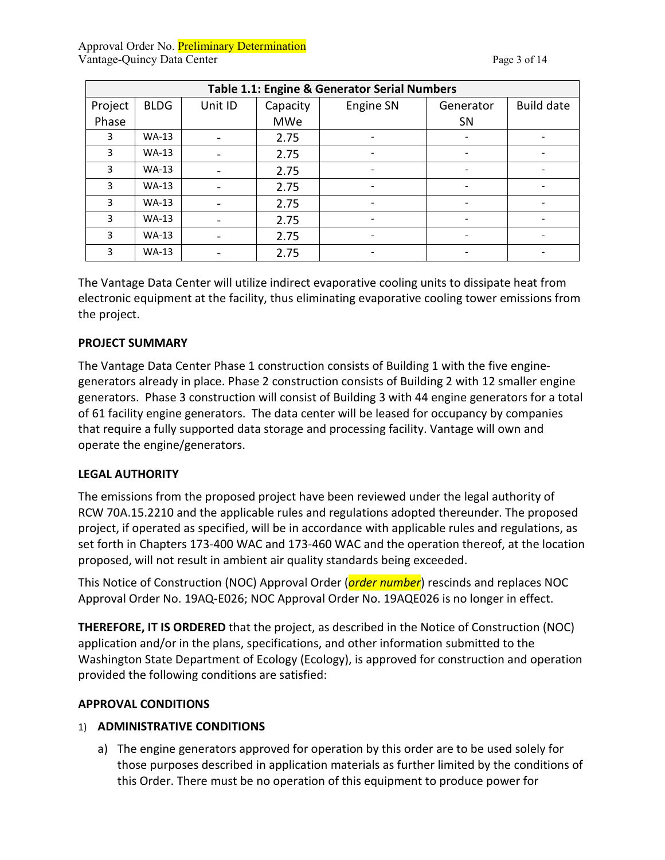| Table 1.1: Engine & Generator Serial Numbers |              |                              |          |                          |    |                   |  |  |
|----------------------------------------------|--------------|------------------------------|----------|--------------------------|----|-------------------|--|--|
| Project                                      | <b>BLDG</b>  | Unit ID                      | Capacity | Engine SN<br>Generator   |    | <b>Build date</b> |  |  |
| Phase                                        |              |                              | MWe      |                          | SN |                   |  |  |
| 3                                            | <b>WA-13</b> | $\qquad \qquad \blacksquare$ | 2.75     |                          |    |                   |  |  |
| 3                                            | $WA-13$      |                              | 2.75     | $\overline{\phantom{0}}$ |    |                   |  |  |
| 3                                            | $WA-13$      |                              | 2.75     | $\overline{\phantom{0}}$ |    |                   |  |  |
| 3                                            | $WA-13$      |                              | 2.75     |                          |    |                   |  |  |
| 3                                            | $WA-13$      |                              | 2.75     | $\overline{\phantom{0}}$ |    |                   |  |  |
| 3                                            | $WA-13$      | $\qquad \qquad \blacksquare$ | 2.75     |                          |    |                   |  |  |
| 3                                            | $WA-13$      |                              | 2.75     | $\overline{\phantom{0}}$ |    |                   |  |  |
| 3                                            | $WA-13$      |                              | 2.75     | $\overline{\phantom{0}}$ |    |                   |  |  |

The Vantage Data Center will utilize indirect evaporative cooling units to dissipate heat from electronic equipment at the facility, thus eliminating evaporative cooling tower emissions from the project.

#### **PROJECT SUMMARY**

The Vantage Data Center Phase 1 construction consists of Building 1 with the five enginegenerators already in place. Phase 2 construction consists of Building 2 with 12 smaller engine generators. Phase 3 construction will consist of Building 3 with 44 engine generators for a total of 61 facility engine generators. The data center will be leased for occupancy by companies that require a fully supported data storage and processing facility. Vantage will own and operate the engine/generators.

#### **LEGAL AUTHORITY**

The emissions from the proposed project have been reviewed under the legal authority of RCW 70A.15.2210 and the applicable rules and regulations adopted thereunder. The proposed project, if operated as specified, will be in accordance with applicable rules and regulations, as set forth in Chapters 173-400 WAC and 173-460 WAC and the operation thereof, at the location proposed, will not result in ambient air quality standards being exceeded.

This Notice of Construction (NOC) Approval Order (*order number*) rescinds and replaces NOC Approval Order No. 19AQ-E026; NOC Approval Order No. 19AQE026 is no longer in effect.

**THEREFORE, IT IS ORDERED** that the project, as described in the Notice of Construction (NOC) application and/or in the plans, specifications, and other information submitted to the Washington State Department of Ecology (Ecology), is approved for construction and operation provided the following conditions are satisfied:

# **APPROVAL CONDITIONS**

#### 1) **ADMINISTRATIVE CONDITIONS**

a) The engine generators approved for operation by this order are to be used solely for those purposes described in application materials as further limited by the conditions of this Order. There must be no operation of this equipment to produce power for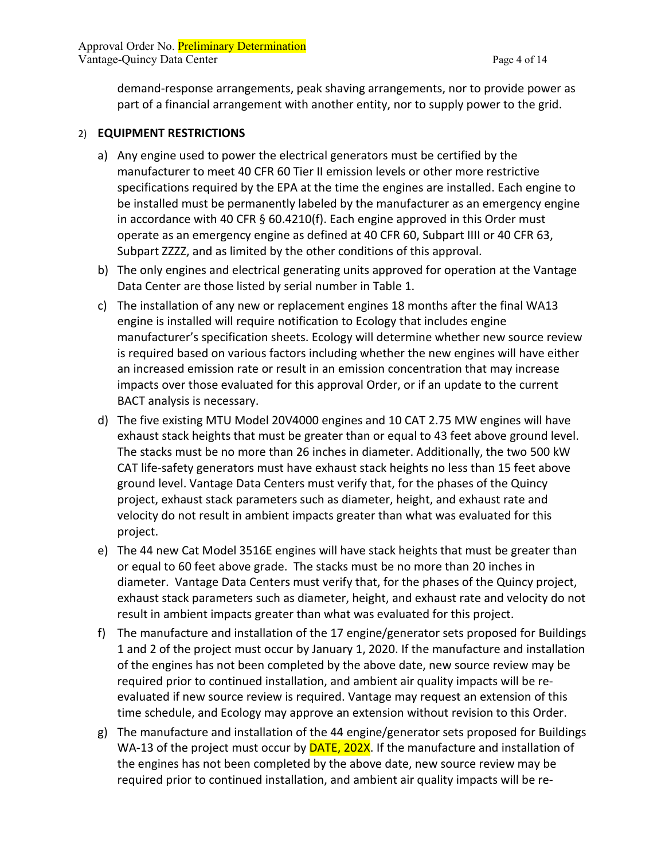Approval Order No. Preliminary Determination Vantage-Quincy Data Center **Page 4 of 14** 

demand-response arrangements, peak shaving arrangements, nor to provide power as part of a financial arrangement with another entity, nor to supply power to the grid.

#### 2) **EQUIPMENT RESTRICTIONS**

- a) Any engine used to power the electrical generators must be certified by the manufacturer to meet 40 CFR 60 Tier II emission levels or other more restrictive specifications required by the EPA at the time the engines are installed. Each engine to be installed must be permanently labeled by the manufacturer as an emergency engine in accordance with 40 CFR § 60.4210(f). Each engine approved in this Order must operate as an emergency engine as defined at 40 CFR 60, Subpart IIII or 40 CFR 63, Subpart ZZZZ, and as limited by the other conditions of this approval.
- b) The only engines and electrical generating units approved for operation at the Vantage Data Center are those listed by serial number in Table 1.
- c) The installation of any new or replacement engines 18 months after the final WA13 engine is installed will require notification to Ecology that includes engine manufacturer's specification sheets. Ecology will determine whether new source review is required based on various factors including whether the new engines will have either an increased emission rate or result in an emission concentration that may increase impacts over those evaluated for this approval Order, or if an update to the current BACT analysis is necessary.
- d) The five existing MTU Model 20V4000 engines and 10 CAT 2.75 MW engines will have exhaust stack heights that must be greater than or equal to 43 feet above ground level. The stacks must be no more than 26 inches in diameter. Additionally, the two 500 kW CAT life-safety generators must have exhaust stack heights no less than 15 feet above ground level. Vantage Data Centers must verify that, for the phases of the Quincy project, exhaust stack parameters such as diameter, height, and exhaust rate and velocity do not result in ambient impacts greater than what was evaluated for this project.
- e) The 44 new Cat Model 3516E engines will have stack heights that must be greater than or equal to 60 feet above grade. The stacks must be no more than 20 inches in diameter. Vantage Data Centers must verify that, for the phases of the Quincy project, exhaust stack parameters such as diameter, height, and exhaust rate and velocity do not result in ambient impacts greater than what was evaluated for this project.
- f) The manufacture and installation of the 17 engine/generator sets proposed for Buildings 1 and 2 of the project must occur by January 1, 2020. If the manufacture and installation of the engines has not been completed by the above date, new source review may be required prior to continued installation, and ambient air quality impacts will be reevaluated if new source review is required. Vantage may request an extension of this time schedule, and Ecology may approve an extension without revision to this Order.
- g) The manufacture and installation of the 44 engine/generator sets proposed for Buildings WA-13 of the project must occur by **DATE, 202X**. If the manufacture and installation of the engines has not been completed by the above date, new source review may be required prior to continued installation, and ambient air quality impacts will be re-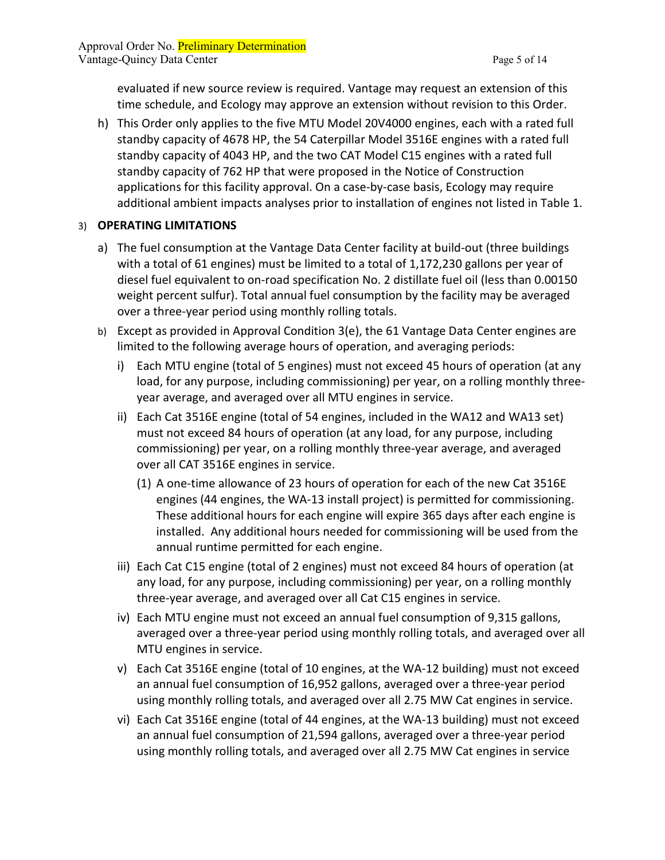evaluated if new source review is required. Vantage may request an extension of this time schedule, and Ecology may approve an extension without revision to this Order.

h) This Order only applies to the five MTU Model 20V4000 engines, each with a rated full standby capacity of 4678 HP, the 54 Caterpillar Model 3516E engines with a rated full standby capacity of 4043 HP, and the two CAT Model C15 engines with a rated full standby capacity of 762 HP that were proposed in the Notice of Construction applications for this facility approval. On a case-by-case basis, Ecology may require additional ambient impacts analyses prior to installation of engines not listed in Table 1.

## 3) **OPERATING LIMITATIONS**

- a) The fuel consumption at the Vantage Data Center facility at build-out (three buildings with a total of 61 engines) must be limited to a total of 1,172,230 gallons per year of diesel fuel equivalent to on-road specification No. 2 distillate fuel oil (less than 0.00150 weight percent sulfur). Total annual fuel consumption by the facility may be averaged over a three-year period using monthly rolling totals.
- b) Except as provided in Approval Condition 3(e), the 61 Vantage Data Center engines are limited to the following average hours of operation, and averaging periods:
	- i) Each MTU engine (total of 5 engines) must not exceed 45 hours of operation (at any load, for any purpose, including commissioning) per year, on a rolling monthly threeyear average, and averaged over all MTU engines in service.
	- ii) Each Cat 3516E engine (total of 54 engines, included in the WA12 and WA13 set) must not exceed 84 hours of operation (at any load, for any purpose, including commissioning) per year, on a rolling monthly three-year average, and averaged over all CAT 3516E engines in service.
		- (1) A one-time allowance of 23 hours of operation for each of the new Cat 3516E engines (44 engines, the WA-13 install project) is permitted for commissioning. These additional hours for each engine will expire 365 days after each engine is installed. Any additional hours needed for commissioning will be used from the annual runtime permitted for each engine.
	- iii) Each Cat C15 engine (total of 2 engines) must not exceed 84 hours of operation (at any load, for any purpose, including commissioning) per year, on a rolling monthly three-year average, and averaged over all Cat C15 engines in service.
	- iv) Each MTU engine must not exceed an annual fuel consumption of 9,315 gallons, averaged over a three-year period using monthly rolling totals, and averaged over all MTU engines in service.
	- v) Each Cat 3516E engine (total of 10 engines, at the WA-12 building) must not exceed an annual fuel consumption of 16,952 gallons, averaged over a three-year period using monthly rolling totals, and averaged over all 2.75 MW Cat engines in service.
	- vi) Each Cat 3516E engine (total of 44 engines, at the WA-13 building) must not exceed an annual fuel consumption of 21,594 gallons, averaged over a three-year period using monthly rolling totals, and averaged over all 2.75 MW Cat engines in service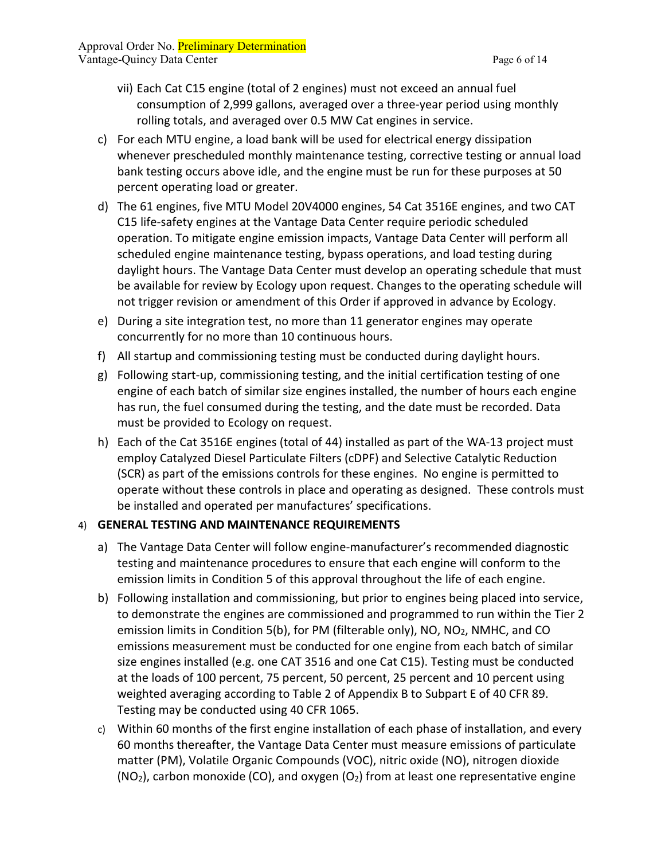- vii) Each Cat C15 engine (total of 2 engines) must not exceed an annual fuel consumption of 2,999 gallons, averaged over a three-year period using monthly rolling totals, and averaged over 0.5 MW Cat engines in service.
- c) For each MTU engine, a load bank will be used for electrical energy dissipation whenever prescheduled monthly maintenance testing, corrective testing or annual load bank testing occurs above idle, and the engine must be run for these purposes at 50 percent operating load or greater.
- d) The 61 engines, five MTU Model 20V4000 engines, 54 Cat 3516E engines, and two CAT C15 life-safety engines at the Vantage Data Center require periodic scheduled operation. To mitigate engine emission impacts, Vantage Data Center will perform all scheduled engine maintenance testing, bypass operations, and load testing during daylight hours. The Vantage Data Center must develop an operating schedule that must be available for review by Ecology upon request. Changes to the operating schedule will not trigger revision or amendment of this Order if approved in advance by Ecology.
- e) During a site integration test, no more than 11 generator engines may operate concurrently for no more than 10 continuous hours.
- f) All startup and commissioning testing must be conducted during daylight hours.
- g) Following start-up, commissioning testing, and the initial certification testing of one engine of each batch of similar size engines installed, the number of hours each engine has run, the fuel consumed during the testing, and the date must be recorded. Data must be provided to Ecology on request.
- h) Each of the Cat 3516E engines (total of 44) installed as part of the WA-13 project must employ Catalyzed Diesel Particulate Filters (cDPF) and Selective Catalytic Reduction (SCR) as part of the emissions controls for these engines. No engine is permitted to operate without these controls in place and operating as designed. These controls must be installed and operated per manufactures' specifications.

# 4) **GENERAL TESTING AND MAINTENANCE REQUIREMENTS**

- a) The Vantage Data Center will follow engine-manufacturer's recommended diagnostic testing and maintenance procedures to ensure that each engine will conform to the emission limits in Condition 5 of this approval throughout the life of each engine.
- b) Following installation and commissioning, but prior to engines being placed into service, to demonstrate the engines are commissioned and programmed to run within the Tier 2 emission limits in Condition 5(b), for PM (filterable only), NO, NO<sub>2</sub>, NMHC, and CO emissions measurement must be conducted for one engine from each batch of similar size engines installed (e.g. one CAT 3516 and one Cat C15). Testing must be conducted at the loads of 100 percent, 75 percent, 50 percent, 25 percent and 10 percent using weighted averaging according to Table 2 of Appendix B to Subpart E of 40 CFR 89. Testing may be conducted using 40 CFR 1065.
- c) Within 60 months of the first engine installation of each phase of installation, and every 60 months thereafter, the Vantage Data Center must measure emissions of particulate matter (PM), Volatile Organic Compounds (VOC), nitric oxide (NO), nitrogen dioxide  $(NO<sub>2</sub>)$ , carbon monoxide (CO), and oxygen (O<sub>2</sub>) from at least one representative engine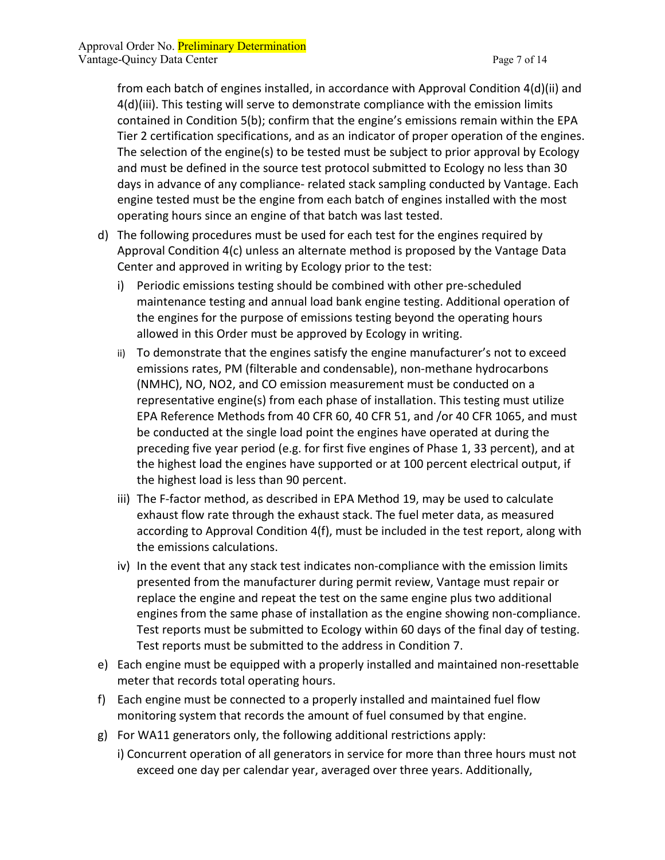from each batch of engines installed, in accordance with Approval Condition 4(d)(ii) and 4(d)(iii). This testing will serve to demonstrate compliance with the emission limits contained in Condition 5(b); confirm that the engine's emissions remain within the EPA Tier 2 certification specifications, and as an indicator of proper operation of the engines. The selection of the engine(s) to be tested must be subject to prior approval by Ecology and must be defined in the source test protocol submitted to Ecology no less than 30 days in advance of any compliance- related stack sampling conducted by Vantage. Each engine tested must be the engine from each batch of engines installed with the most operating hours since an engine of that batch was last tested.

- d) The following procedures must be used for each test for the engines required by Approval Condition 4(c) unless an alternate method is proposed by the Vantage Data Center and approved in writing by Ecology prior to the test:
	- i) Periodic emissions testing should be combined with other pre-scheduled maintenance testing and annual load bank engine testing. Additional operation of the engines for the purpose of emissions testing beyond the operating hours allowed in this Order must be approved by Ecology in writing.
	- ii) To demonstrate that the engines satisfy the engine manufacturer's not to exceed emissions rates, PM (filterable and condensable), non-methane hydrocarbons (NMHC), NO, NO2, and CO emission measurement must be conducted on a representative engine(s) from each phase of installation. This testing must utilize EPA Reference Methods from 40 CFR 60, 40 CFR 51, and /or 40 CFR 1065, and must be conducted at the single load point the engines have operated at during the preceding five year period (e.g. for first five engines of Phase 1, 33 percent), and at the highest load the engines have supported or at 100 percent electrical output, if the highest load is less than 90 percent.
	- iii) The F-factor method, as described in EPA Method 19, may be used to calculate exhaust flow rate through the exhaust stack. The fuel meter data, as measured according to Approval Condition 4(f), must be included in the test report, along with the emissions calculations.
	- iv) In the event that any stack test indicates non-compliance with the emission limits presented from the manufacturer during permit review, Vantage must repair or replace the engine and repeat the test on the same engine plus two additional engines from the same phase of installation as the engine showing non-compliance. Test reports must be submitted to Ecology within 60 days of the final day of testing. Test reports must be submitted to the address in Condition 7.
- e) Each engine must be equipped with a properly installed and maintained non-resettable meter that records total operating hours.
- f) Each engine must be connected to a properly installed and maintained fuel flow monitoring system that records the amount of fuel consumed by that engine.
- g) For WA11 generators only, the following additional restrictions apply:
	- i) Concurrent operation of all generators in service for more than three hours must not exceed one day per calendar year, averaged over three years. Additionally,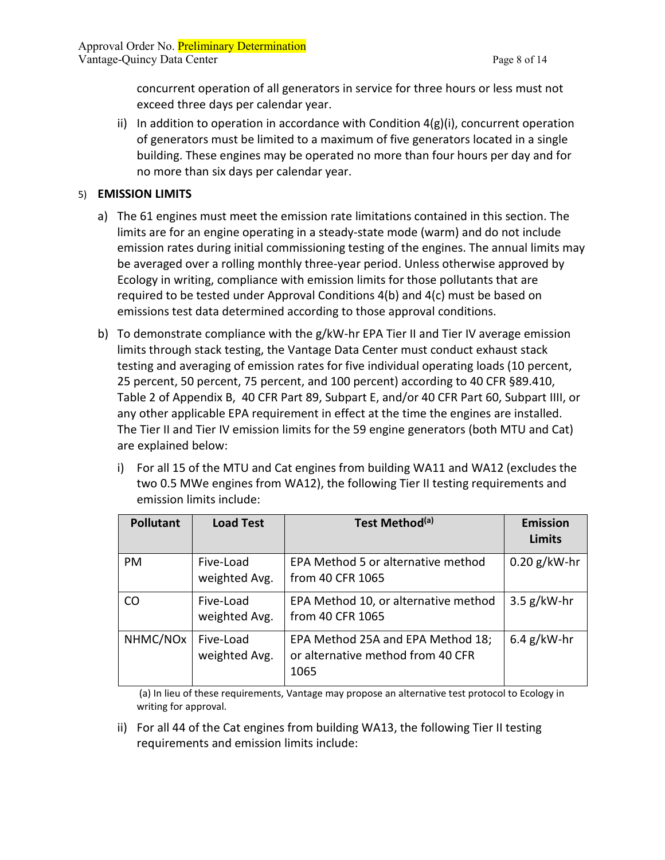concurrent operation of all generators in service for three hours or less must not exceed three days per calendar year.

ii) In addition to operation in accordance with Condition  $4(g)(i)$ , concurrent operation of generators must be limited to a maximum of five generators located in a single building. These engines may be operated no more than four hours per day and for no more than six days per calendar year.

#### 5) **EMISSION LIMITS**

- a) The 61 engines must meet the emission rate limitations contained in this section. The limits are for an engine operating in a steady-state mode (warm) and do not include emission rates during initial commissioning testing of the engines. The annual limits may be averaged over a rolling monthly three-year period. Unless otherwise approved by Ecology in writing, compliance with emission limits for those pollutants that are required to be tested under Approval Conditions 4(b) and 4(c) must be based on emissions test data determined according to those approval conditions.
- b) To demonstrate compliance with the g/kW-hr EPA Tier II and Tier IV average emission limits through stack testing, the Vantage Data Center must conduct exhaust stack testing and averaging of emission rates for five individual operating loads (10 percent, 25 percent, 50 percent, 75 percent, and 100 percent) according to 40 CFR §89.410, Table 2 of Appendix B, 40 CFR Part 89, Subpart E, and/or 40 CFR Part 60, Subpart IIII, or any other applicable EPA requirement in effect at the time the engines are installed. The Tier II and Tier IV emission limits for the 59 engine generators (both MTU and Cat) are explained below:
	- i) For all 15 of the MTU and Cat engines from building WA11 and WA12 (excludes the two 0.5 MWe engines from WA12), the following Tier II testing requirements and emission limits include:

| <b>Pollutant</b>     | <b>Load Test</b>           | Test Method <sup>(a)</sup>                                                     | <b>Emission</b><br><b>Limits</b> |
|----------------------|----------------------------|--------------------------------------------------------------------------------|----------------------------------|
| <b>PM</b>            | Five-Load<br>weighted Avg. | EPA Method 5 or alternative method<br>from 40 CFR 1065                         | $0.20$ g/kW-hr                   |
| CO                   | Five-Load<br>weighted Avg. | EPA Method 10, or alternative method<br>from 40 CFR 1065                       | $3.5$ g/kW-hr                    |
| NHMC/NO <sub>x</sub> | Five-Load<br>weighted Avg. | EPA Method 25A and EPA Method 18;<br>or alternative method from 40 CFR<br>1065 | $6.4$ g/kW-hr                    |

(a) In lieu of these requirements, Vantage may propose an alternative test protocol to Ecology in writing for approval.

ii) For all 44 of the Cat engines from building WA13, the following Tier II testing requirements and emission limits include: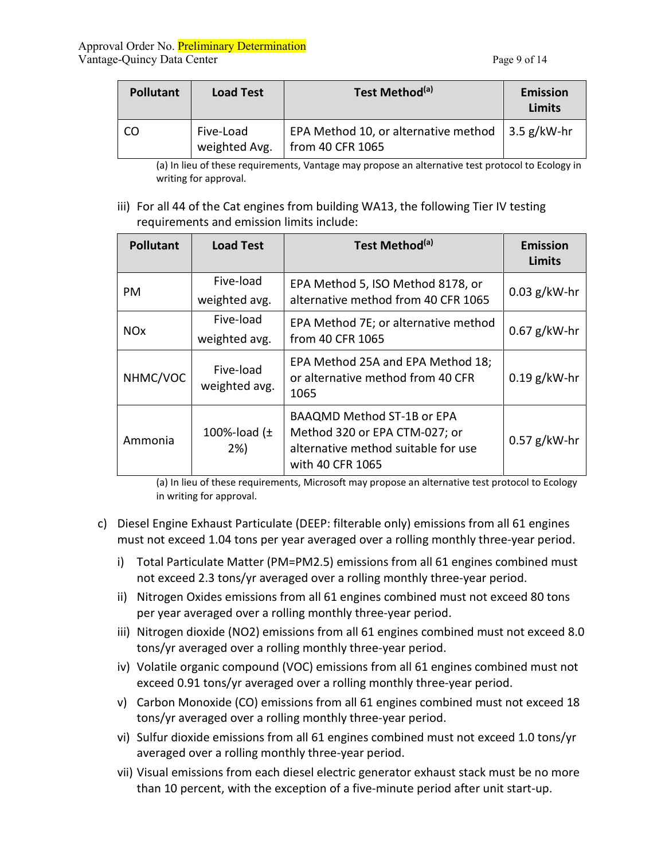| <b>Pollutant</b> | <b>Load Test</b>           | Test Method <sup>(a)</sup>                                                   | <b>Emission</b><br><b>Limits</b> |
|------------------|----------------------------|------------------------------------------------------------------------------|----------------------------------|
| CO               | Five-Load<br>weighted Avg. | EPA Method 10, or alternative method $\vert$ 3.5 g/kW-hr<br>from 40 CFR 1065 |                                  |

(a) In lieu of these requirements, Vantage may propose an alternative test protocol to Ecology in writing for approval.

iii) For all 44 of the Cat engines from building WA13, the following Tier IV testing requirements and emission limits include:

| <b>Pollutant</b>                      | <b>Load Test</b>           | Test Method <sup>(a)</sup>                                                                                                    | <b>Emission</b><br>Limits |
|---------------------------------------|----------------------------|-------------------------------------------------------------------------------------------------------------------------------|---------------------------|
| PM                                    | Five-load<br>weighted avg. | EPA Method 5, ISO Method 8178, or<br>alternative method from 40 CFR 1065                                                      | $0.03$ g/kW-hr            |
| <b>NO<sub>x</sub></b>                 | Five-load<br>weighted avg. | EPA Method 7E; or alternative method<br>from 40 CFR 1065                                                                      | $0.67$ g/kW-hr            |
| NHMC/VOC                              | Five-load<br>weighted avg. | EPA Method 25A and EPA Method 18;<br>or alternative method from 40 CFR<br>1065                                                | $0.19$ g/kW-hr            |
| 100%-load $(\pm$<br>Ammonia<br>$2\%)$ |                            | <b>BAAQMD Method ST-1B or EPA</b><br>Method 320 or EPA CTM-027; or<br>alternative method suitable for use<br>with 40 CFR 1065 | $0.57$ g/kW-hr            |

(a) In lieu of these requirements, Microsoft may propose an alternative test protocol to Ecology in writing for approval.

- c) Diesel Engine Exhaust Particulate (DEEP: filterable only) emissions from all 61 engines must not exceed 1.04 tons per year averaged over a rolling monthly three-year period.
	- i) Total Particulate Matter (PM=PM2.5) emissions from all 61 engines combined must not exceed 2.3 tons/yr averaged over a rolling monthly three-year period.
	- ii) Nitrogen Oxides emissions from all 61 engines combined must not exceed 80 tons per year averaged over a rolling monthly three-year period.
	- iii) Nitrogen dioxide (NO2) emissions from all 61 engines combined must not exceed 8.0 tons/yr averaged over a rolling monthly three-year period.
	- iv) Volatile organic compound (VOC) emissions from all 61 engines combined must not exceed 0.91 tons/yr averaged over a rolling monthly three-year period.
	- v) Carbon Monoxide (CO) emissions from all 61 engines combined must not exceed 18 tons/yr averaged over a rolling monthly three-year period.
	- vi) Sulfur dioxide emissions from all 61 engines combined must not exceed 1.0 tons/yr averaged over a rolling monthly three-year period.
	- vii) Visual emissions from each diesel electric generator exhaust stack must be no more than 10 percent, with the exception of a five-minute period after unit start-up.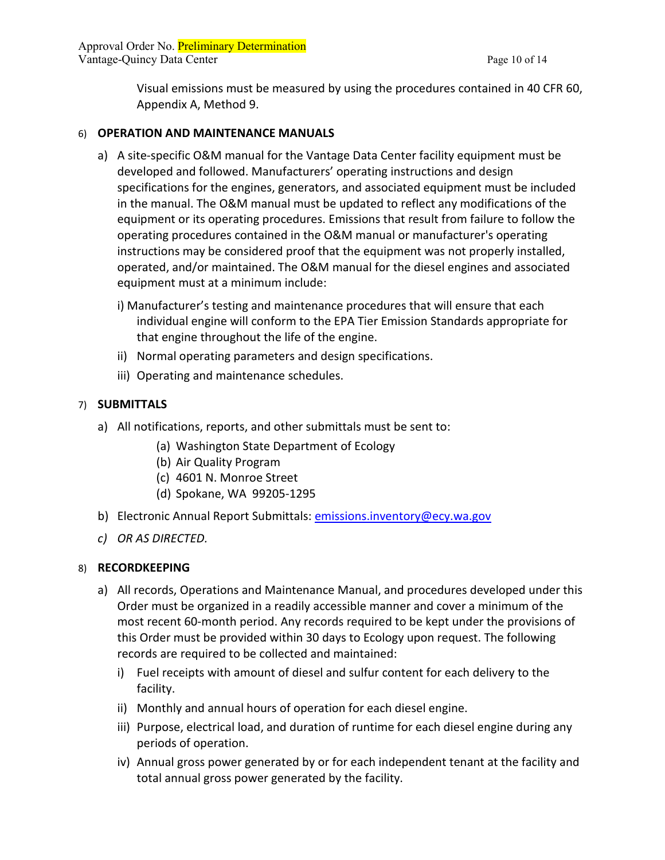Approval Order No. Preliminary Determination Vantage-Quincy Data Center **Page 10 of 14** 

Visual emissions must be measured by using the procedures contained in 40 CFR 60, Appendix A, Method 9.

#### 6) **OPERATION AND MAINTENANCE MANUALS**

- a) A site-specific O&M manual for the Vantage Data Center facility equipment must be developed and followed. Manufacturers' operating instructions and design specifications for the engines, generators, and associated equipment must be included in the manual. The O&M manual must be updated to reflect any modifications of the equipment or its operating procedures. Emissions that result from failure to follow the operating procedures contained in the O&M manual or manufacturer's operating instructions may be considered proof that the equipment was not properly installed, operated, and/or maintained. The O&M manual for the diesel engines and associated equipment must at a minimum include:
	- i) Manufacturer's testing and maintenance procedures that will ensure that each individual engine will conform to the EPA Tier Emission Standards appropriate for that engine throughout the life of the engine.
	- ii) Normal operating parameters and design specifications.
	- iii) Operating and maintenance schedules.

#### 7) **SUBMITTALS**

- a) All notifications, reports, and other submittals must be sent to:
	- (a) Washington State Department of Ecology
	- (b) Air Quality Program
	- (c) 4601 N. Monroe Street
	- (d) Spokane, WA 99205-1295
- b) Electronic Annual Report Submittals: [emissions.inventory@ecy.wa.gov](mailto:emissions.inventory@ecy.wa.gov)
- *c) OR AS DIRECTED.*

#### 8) **RECORDKEEPING**

- a) All records, Operations and Maintenance Manual, and procedures developed under this Order must be organized in a readily accessible manner and cover a minimum of the most recent 60-month period. Any records required to be kept under the provisions of this Order must be provided within 30 days to Ecology upon request. The following records are required to be collected and maintained:
	- i) Fuel receipts with amount of diesel and sulfur content for each delivery to the facility.
	- ii) Monthly and annual hours of operation for each diesel engine.
	- iii) Purpose, electrical load, and duration of runtime for each diesel engine during any periods of operation.
	- iv) Annual gross power generated by or for each independent tenant at the facility and total annual gross power generated by the facility.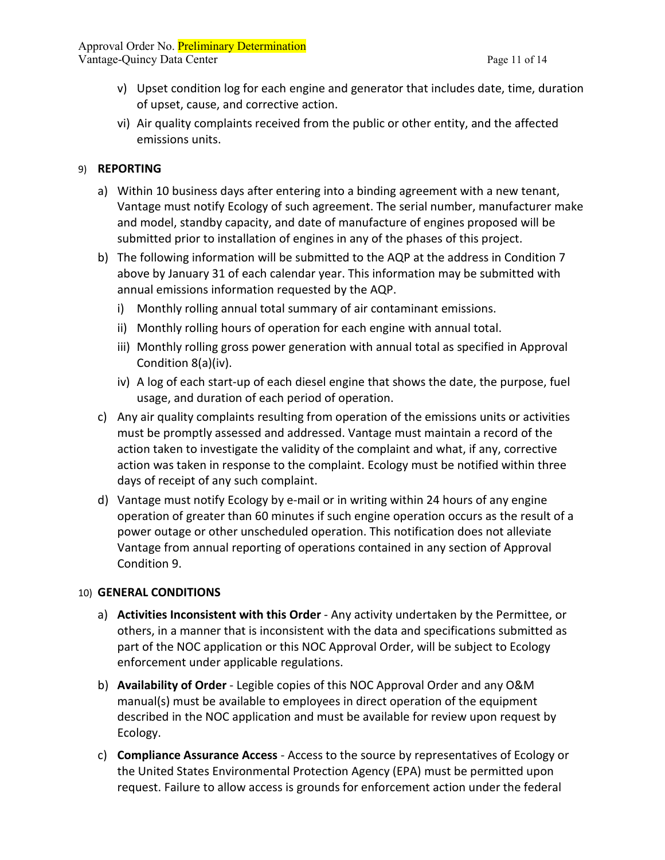Approval Order No. Preliminary Determination Vantage-Quincy Data Center **Page 11** of 14

- v) Upset condition log for each engine and generator that includes date, time, duration of upset, cause, and corrective action.
- vi) Air quality complaints received from the public or other entity, and the affected emissions units.

#### 9) **REPORTING**

- a) Within 10 business days after entering into a binding agreement with a new tenant, Vantage must notify Ecology of such agreement. The serial number, manufacturer make and model, standby capacity, and date of manufacture of engines proposed will be submitted prior to installation of engines in any of the phases of this project.
- b) The following information will be submitted to the AQP at the address in Condition 7 above by January 31 of each calendar year. This information may be submitted with annual emissions information requested by the AQP.
	- i) Monthly rolling annual total summary of air contaminant emissions.
	- ii) Monthly rolling hours of operation for each engine with annual total.
	- iii) Monthly rolling gross power generation with annual total as specified in Approval Condition 8(a)(iv).
	- iv) A log of each start-up of each diesel engine that shows the date, the purpose, fuel usage, and duration of each period of operation.
- c) Any air quality complaints resulting from operation of the emissions units or activities must be promptly assessed and addressed. Vantage must maintain a record of the action taken to investigate the validity of the complaint and what, if any, corrective action was taken in response to the complaint. Ecology must be notified within three days of receipt of any such complaint.
- d) Vantage must notify Ecology by e-mail or in writing within 24 hours of any engine operation of greater than 60 minutes if such engine operation occurs as the result of a power outage or other unscheduled operation. This notification does not alleviate Vantage from annual reporting of operations contained in any section of Approval Condition 9.

# 10) **GENERAL CONDITIONS**

- a) **Activities Inconsistent with this Order** Any activity undertaken by the Permittee, or others, in a manner that is inconsistent with the data and specifications submitted as part of the NOC application or this NOC Approval Order, will be subject to Ecology enforcement under applicable regulations.
- b) **Availability of Order** Legible copies of this NOC Approval Order and any O&M manual(s) must be available to employees in direct operation of the equipment described in the NOC application and must be available for review upon request by Ecology.
- c) **Compliance Assurance Access** Access to the source by representatives of Ecology or the United States Environmental Protection Agency (EPA) must be permitted upon request. Failure to allow access is grounds for enforcement action under the federal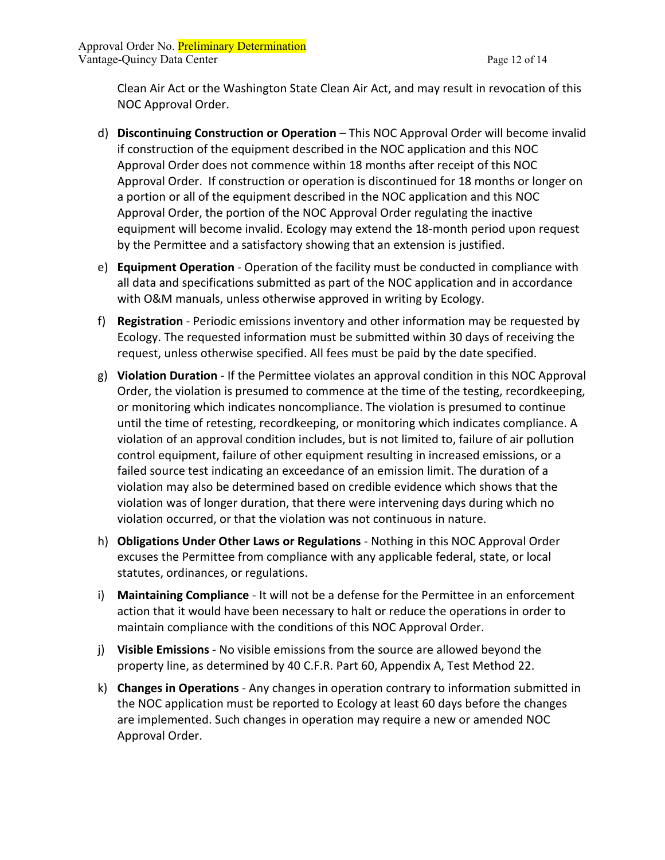Approval Order No. Preliminary Determination Vantage-Quincy Data Center **Page 12 of 14** 

Clean Air Act or the Washington State Clean Air Act, and may result in revocation of this NOC Approval Order.

- d) **Discontinuing Construction or Operation** This NOC Approval Order will become invalid if construction of the equipment described in the NOC application and this NOC Approval Order does not commence within 18 months after receipt of this NOC Approval Order. If construction or operation is discontinued for 18 months or longer on a portion or all of the equipment described in the NOC application and this NOC Approval Order, the portion of the NOC Approval Order regulating the inactive equipment will become invalid. Ecology may extend the 18-month period upon request by the Permittee and a satisfactory showing that an extension is justified.
- e) **Equipment Operation** Operation of the facility must be conducted in compliance with all data and specifications submitted as part of the NOC application and in accordance with O&M manuals, unless otherwise approved in writing by Ecology.
- f) **Registration** Periodic emissions inventory and other information may be requested by Ecology. The requested information must be submitted within 30 days of receiving the request, unless otherwise specified. All fees must be paid by the date specified.
- g) **Violation Duration**  If the Permittee violates an approval condition in this NOC Approval Order, the violation is presumed to commence at the time of the testing, recordkeeping, or monitoring which indicates noncompliance. The violation is presumed to continue until the time of retesting, recordkeeping, or monitoring which indicates compliance. A violation of an approval condition includes, but is not limited to, failure of air pollution control equipment, failure of other equipment resulting in increased emissions, or a failed source test indicating an exceedance of an emission limit. The duration of a violation may also be determined based on credible evidence which shows that the violation was of longer duration, that there were intervening days during which no violation occurred, or that the violation was not continuous in nature.
- h) **Obligations Under Other Laws or Regulations** Nothing in this NOC Approval Order excuses the Permittee from compliance with any applicable federal, state, or local statutes, ordinances, or regulations.
- i) **Maintaining Compliance** It will not be a defense for the Permittee in an enforcement action that it would have been necessary to halt or reduce the operations in order to maintain compliance with the conditions of this NOC Approval Order.
- j) **Visible Emissions** No visible emissions from the source are allowed beyond the property line, as determined by 40 C.F.R. Part 60, Appendix A, Test Method 22.
- k) **Changes in Operations** Any changes in operation contrary to information submitted in the NOC application must be reported to Ecology at least 60 days before the changes are implemented. Such changes in operation may require a new or amended NOC Approval Order.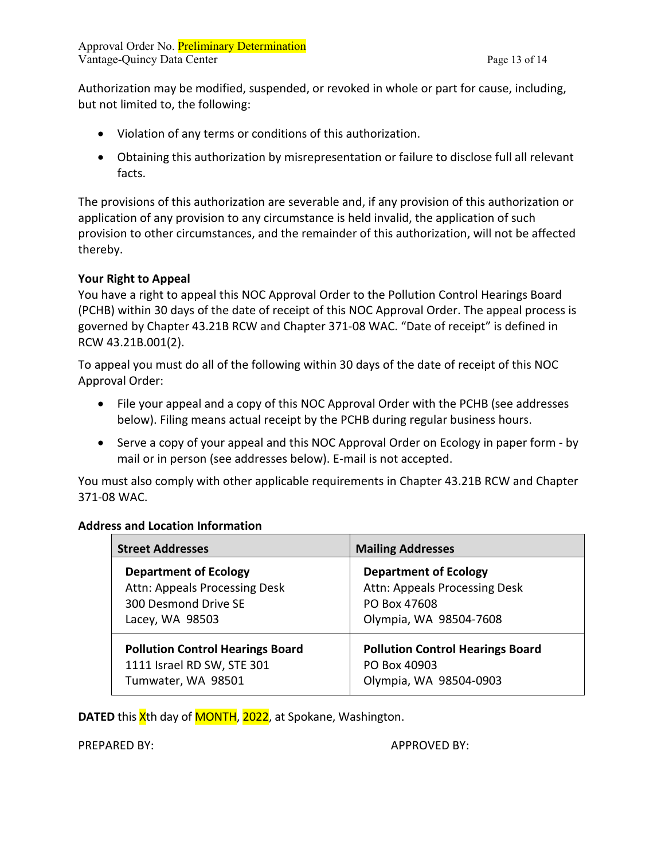Authorization may be modified, suspended, or revoked in whole or part for cause, including, but not limited to, the following:

- Violation of any terms or conditions of this authorization.
- Obtaining this authorization by misrepresentation or failure to disclose full all relevant facts.

The provisions of this authorization are severable and, if any provision of this authorization or application of any provision to any circumstance is held invalid, the application of such provision to other circumstances, and the remainder of this authorization, will not be affected thereby.

## **Your Right to Appeal**

You have a right to appeal this NOC Approval Order to the Pollution Control Hearings Board (PCHB) within 30 days of the date of receipt of this NOC Approval Order. The appeal process is governed by Chapter 43.21B RCW and Chapter 371-08 WAC. "Date of receipt" is defined in RCW 43.21B.001(2).

To appeal you must do all of the following within 30 days of the date of receipt of this NOC Approval Order:

- File your appeal and a copy of this NOC Approval Order with the PCHB (see addresses below). Filing means actual receipt by the PCHB during regular business hours.
- Serve a copy of your appeal and this NOC Approval Order on Ecology in paper form by mail or in person (see addresses below). E-mail is not accepted.

You must also comply with other applicable requirements in Chapter 43.21B RCW and Chapter 371-08 WAC.

#### **Address and Location Information**

| <b>Street Addresses</b>                 | <b>Mailing Addresses</b>                |
|-----------------------------------------|-----------------------------------------|
| <b>Department of Ecology</b>            | <b>Department of Ecology</b>            |
| Attn: Appeals Processing Desk           | Attn: Appeals Processing Desk           |
| 300 Desmond Drive SE                    | PO Box 47608                            |
| Lacey, WA 98503                         | Olympia, WA 98504-7608                  |
| <b>Pollution Control Hearings Board</b> | <b>Pollution Control Hearings Board</b> |
| 1111 Israel RD SW, STE 301              | PO Box 40903                            |
| Tumwater, WA 98501                      | Olympia, WA 98504-0903                  |

**DATED** this X<sup>th</sup> day of MONTH, 2022, at Spokane, Washington.

PREPARED BY: APPROVED BY: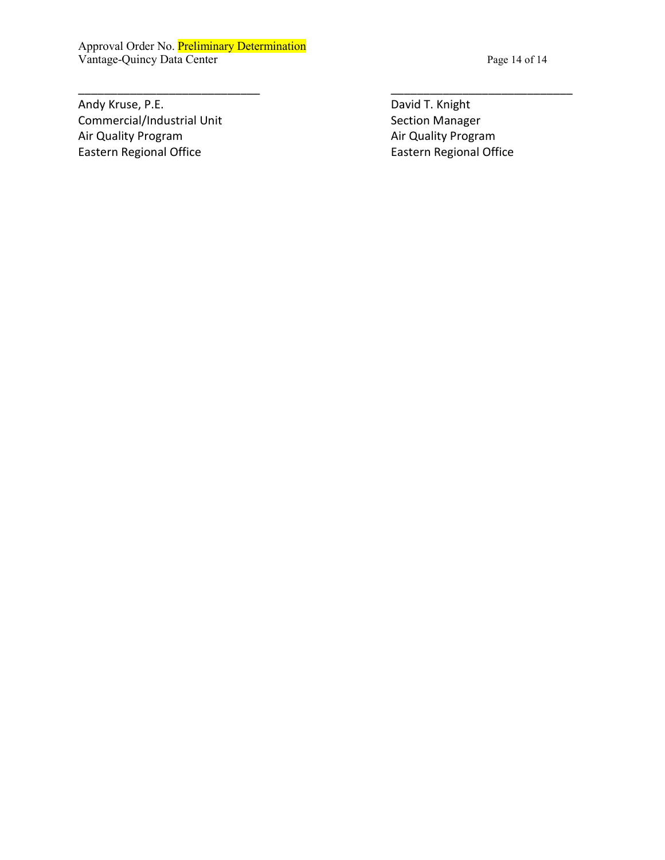Approval Order No. Preliminary Determination Vantage-Quincy Data Center Page 14 of 14

Andy Kruse, P.E. **David T. Knight** David T. Knight Commercial/Industrial Unit Section Manager Air Quality Program **Air Collection Control** Air Quality Program **Air Quality Program** Eastern Regional Office Eastern Regional Office

\_\_\_\_\_\_\_\_\_\_\_\_\_\_\_\_\_\_\_\_\_\_\_\_\_\_\_\_ \_\_\_\_\_\_\_\_\_\_\_\_\_\_\_\_\_\_\_\_\_\_\_\_\_\_\_\_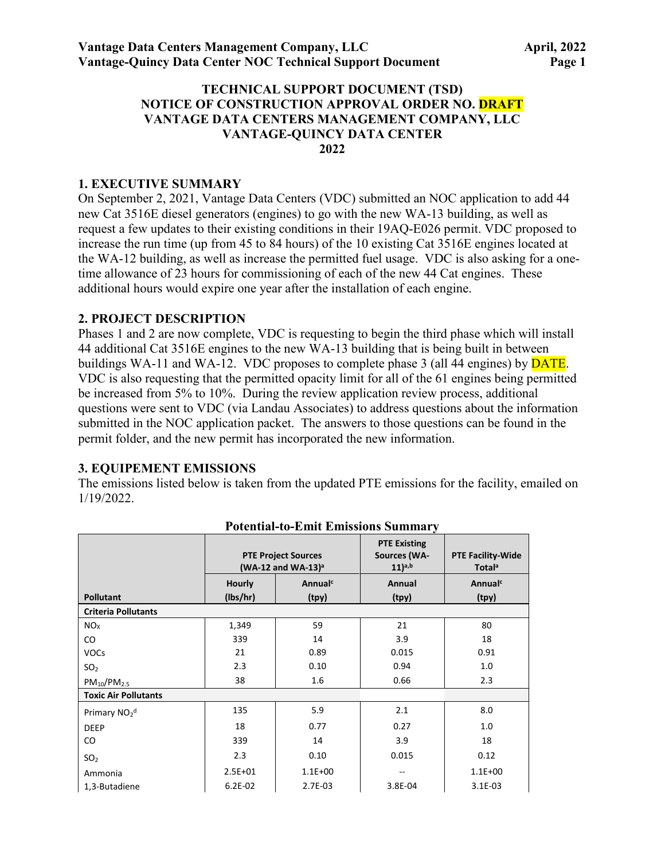#### **TECHNICAL SUPPORT DOCUMENT (TSD) NOTICE OF CONSTRUCTION APPROVAL ORDER NO. DRAFT VANTAGE DATA CENTERS MANAGEMENT COMPANY, LLC VANTAGE-QUINCY DATA CENTER 2022**

#### **1. EXECUTIVE SUMMARY**

On September 2, 2021, Vantage Data Centers (VDC) submitted an NOC application to add 44 new Cat 3516E diesel generators (engines) to go with the new WA-13 building, as well as request a few updates to their existing conditions in their 19AQ-E026 permit. VDC proposed to increase the run time (up from 45 to 84 hours) of the 10 existing Cat 3516E engines located at the WA-12 building, as well as increase the permitted fuel usage. VDC is also asking for a onetime allowance of 23 hours for commissioning of each of the new 44 Cat engines. These additional hours would expire one year after the installation of each engine.

#### **2. PROJECT DESCRIPTION**

Phases 1 and 2 are now complete, VDC is requesting to begin the third phase which will install 44 additional Cat 3516E engines to the new WA-13 building that is being built in between buildings WA-11 and WA-12. VDC proposes to complete phase 3 (all 44 engines) by **DATE**. VDC is also requesting that the permitted opacity limit for all of the 61 engines being permitted be increased from 5% to 10%. During the review application review process, additional questions were sent to VDC (via Landau Associates) to address questions about the information submitted in the NOC application packet. The answers to those questions can be found in the permit folder, and the new permit has incorporated the new information.

# **3. EQUIPEMENT EMISSIONS**

The emissions listed below is taken from the updated PTE emissions for the facility, emailed on 1/19/2022.

|                                      | <b>PTE Project Sources</b><br>(WA-12 and WA-13) <sup>a</sup> |             | <b>PTE Existing</b><br>Sources (WA-<br>$(11)^{a,b}$ | <b>PTE Facility-Wide</b><br><b>Total</b> <sup>a</sup> |  |  |  |
|--------------------------------------|--------------------------------------------------------------|-------------|-----------------------------------------------------|-------------------------------------------------------|--|--|--|
|                                      | Annual <sup>c</sup><br><b>Hourly</b>                         |             | Annual                                              | Annualc                                               |  |  |  |
| <b>Pollutant</b>                     | (lbs/hr)                                                     | (tpy)       | (tpy)                                               | (tpy)                                                 |  |  |  |
| <b>Criteria Pollutants</b>           |                                                              |             |                                                     |                                                       |  |  |  |
| NO <sub>x</sub>                      | 1,349                                                        | 59          | 21                                                  | 80                                                    |  |  |  |
| $\rm CO$                             | 339                                                          | 14          | 3.9                                                 | 18                                                    |  |  |  |
| <b>VOCs</b>                          | 21                                                           | 0.89        | 0.015                                               | 0.91                                                  |  |  |  |
| SO <sub>2</sub>                      | 2.3                                                          | 0.10        | 0.94                                                | 1.0                                                   |  |  |  |
| $PM_{10}/PM_{2.5}$                   | 38                                                           | 1.6         | 0.66                                                | 2.3                                                   |  |  |  |
| <b>Toxic Air Pollutants</b>          |                                                              |             |                                                     |                                                       |  |  |  |
| Primary NO <sub>2</sub> <sup>d</sup> | 135                                                          | 5.9         | 2.1                                                 | 8.0                                                   |  |  |  |
| <b>DEEP</b>                          | 18                                                           | 0.77        | 0.27                                                | 1.0                                                   |  |  |  |
| CO                                   | 339                                                          | 14          | 3.9                                                 | 18                                                    |  |  |  |
| SO <sub>2</sub>                      | 2.3                                                          | 0.10        | 0.015                                               | 0.12                                                  |  |  |  |
| Ammonia                              | $2.5E + 01$                                                  | $1.1E + 00$ |                                                     | $1.1E + 00$                                           |  |  |  |
| 1,3-Butadiene                        | $6.2E-02$                                                    | 2.7E-03     | 3.8E-04                                             | $3.1E-03$                                             |  |  |  |

#### **Potential-to-Emit Emissions Summary**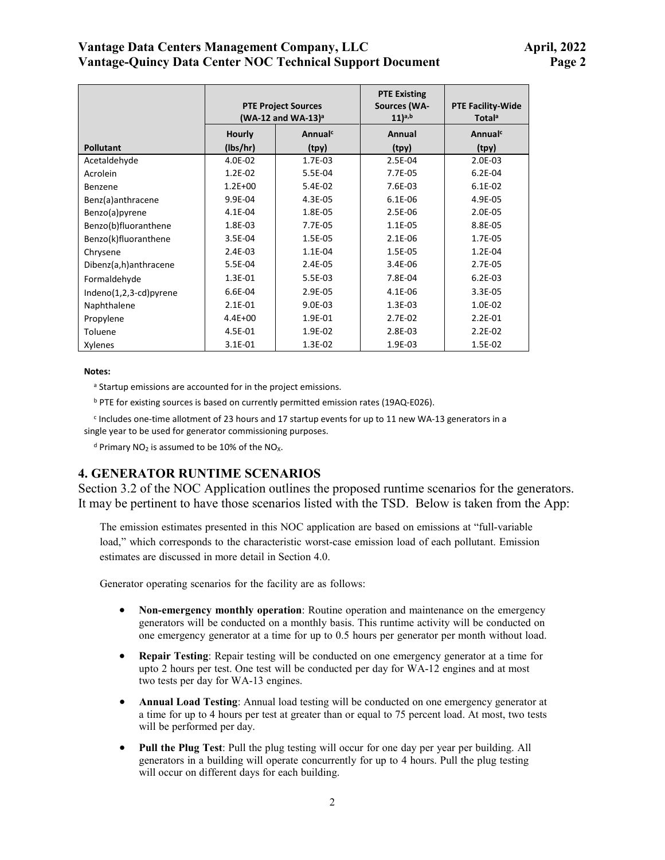## **Vantage Data Centers Management Company, LLC April, 2022 Vantage-Quincy Data Center NOC Technical Support Document Page 2**

|                        | <b>PTE Project Sources</b><br>$(WA-12$ and $WA-13$ <sup>a</sup><br>Annualc<br><b>Hourly</b> |         | <b>PTE Existing</b><br><b>Sources (WA-</b><br>$11)$ <sup>a,b</sup> | <b>PTE Facility-Wide</b><br><b>Totala</b> |
|------------------------|---------------------------------------------------------------------------------------------|---------|--------------------------------------------------------------------|-------------------------------------------|
|                        |                                                                                             |         | Annual                                                             | Annual <sup>c</sup>                       |
| <b>Pollutant</b>       | (lbs/hr)                                                                                    | (tpy)   | (tpy)                                                              | (tpy)                                     |
| Acetaldehyde           | 4.0E-02                                                                                     | 1.7E-03 | 2.5E-04                                                            | 2.0E-03                                   |
| Acrolein               | 1.2E-02                                                                                     | 5.5E-04 | 7.7E-05                                                            | $6.2E-04$                                 |
| Benzene                | $1.2E + 00$                                                                                 | 5.4E-02 | 7.6E-03                                                            | $6.1E-02$                                 |
| Benz(a)anthracene      | 9.9E-04                                                                                     | 4.3E-05 | $6.1E-06$                                                          | 4.9E-05                                   |
| Benzo(a)pyrene         | 4.1E-04                                                                                     | 1.8E-05 | 2.5E-06                                                            | 2.0E-05                                   |
| Benzo(b)fluoranthene   | 1.8E-03                                                                                     | 7.7E-05 | 1.1E-05                                                            | 8.8E-05                                   |
| Benzo(k)fluoranthene   | 3.5E-04                                                                                     | 1.5E-05 | 2.1E-06                                                            | 1.7E-05                                   |
| Chrysene               | 2.4E-03                                                                                     | 1.1E-04 | 1.5E-05                                                            | $1.2E-04$                                 |
| Dibenz(a,h)anthracene  | 5.5E-04                                                                                     | 2.4E-05 | 3.4E-06                                                            | 2.7E-05                                   |
| Formaldehyde           | 1.3E-01                                                                                     | 5.5E-03 | 7.8E-04                                                            | $6.2E-03$                                 |
| Indeno(1,2,3-cd)pyrene | 6.6E-04                                                                                     | 2.9E-05 | 4.1E-06                                                            | 3.3E-05                                   |
| Naphthalene            | $2.1E - 01$                                                                                 | 9.0E-03 | 1.3E-03                                                            | 1.0E-02                                   |
| Propylene              | $4.4E + 00$                                                                                 | 1.9E-01 | 2.7E-02                                                            | $2.2E - 01$                               |
| Toluene                | 4.5E-01                                                                                     | 1.9E-02 | 2.8E-03                                                            | $2.2E-02$                                 |
| Xylenes                | 3.1E-01                                                                                     | 1.3E-02 | 1.9E-03                                                            | 1.5E-02                                   |

#### **Notes:**

a Startup emissions are accounted for in the project emissions.

b PTE for existing sources is based on currently permitted emission rates (19AQ-E026).

<sup>c</sup> Includes one-time allotment of 23 hours and 17 startup events for up to 11 new WA-13 generators in a single year to be used for generator commissioning purposes.

 $d$  Primary NO<sub>2</sub> is assumed to be 10% of the NO<sub>X</sub>.

#### **4. GENERATOR RUNTIME SCENARIOS**

Section 3.2 of the NOC Application outlines the proposed runtime scenarios for the generators. It may be pertinent to have those scenarios listed with the TSD. Below is taken from the App:

The emission estimates presented in this NOC application are based on emissions at "full-variable load," which corresponds to the characteristic worst-case emission load of each pollutant. Emission estimates are discussed in more detail in Section 4.0.

Generator operating scenarios for the facility are as follows:

- **Non-emergency monthly operation**: Routine operation and maintenance on the emergency generators will be conducted on a monthly basis. This runtime activity will be conducted on one emergency generator at a time for up to 0.5 hours per generator per month without load.
- **Repair Testing**: Repair testing will be conducted on one emergency generator at a time for upto 2 hours per test. One test will be conducted per day for WA-12 engines and at most two tests per day for WA-13 engines.
- **Annual Load Testing**: Annual load testing will be conducted on one emergency generator at a time for up to 4 hours per test at greater than or equal to 75 percent load. At most, two tests will be performed per day.
- **Pull the Plug Test**: Pull the plug testing will occur for one day per year per building. All generators in a building will operate concurrently for up to 4 hours. Pull the plug testing will occur on different days for each building.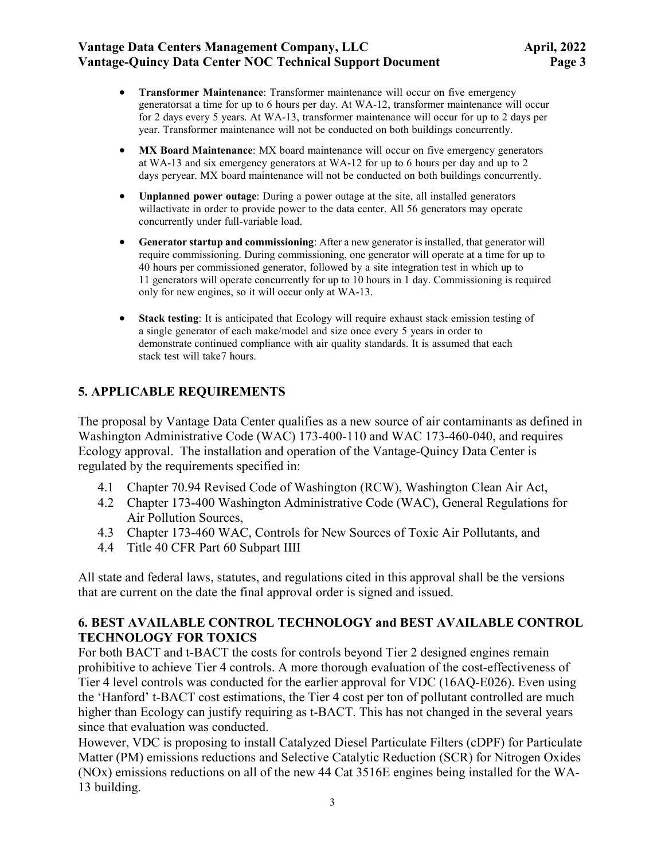## **Vantage Data Centers Management Company, LLC** April, 2022 **Vantage-Quincy Data Center NOC Technical Support Document Page 3**

- **Transformer Maintenance**: Transformer maintenance will occur on five emergency generatorsat a time for up to 6 hours per day. At WA-12, transformer maintenance will occur for 2 days every 5 years. At WA-13, transformer maintenance will occur for up to 2 days per year. Transformer maintenance will not be conducted on both buildings concurrently.
- **MX Board Maintenance**: MX board maintenance will occur on five emergency generators at WA-13 and six emergency generators at WA-12 for up to 6 hours per day and up to 2 days peryear. MX board maintenance will not be conducted on both buildings concurrently.
- **Unplanned power outage**: During a power outage at the site, all installed generators willactivate in order to provide power to the data center. All 56 generators may operate concurrently under full-variable load.
- **Generator startup and commissioning**: After a new generator is installed, that generator will require commissioning. During commissioning, one generator will operate at a time for up to 40 hours per commissioned generator, followed by a site integration test in which up to 11 generators will operate concurrently for up to 10 hours in 1 day. Commissioning is required only for new engines, so it will occur only at WA-13.
- **Stack testing**: It is anticipated that Ecology will require exhaust stack emission testing of a single generator of each make/model and size once every 5 years in order to demonstrate continued compliance with air quality standards. It is assumed that each stack test will take7 hours.

# **5. APPLICABLE REQUIREMENTS**

The proposal by Vantage Data Center qualifies as a new source of air contaminants as defined in Washington Administrative Code (WAC) 173-400-110 and WAC 173-460-040, and requires Ecology approval. The installation and operation of the Vantage-Quincy Data Center is regulated by the requirements specified in:

- 4.1 Chapter 70.94 Revised Code of Washington (RCW), Washington Clean Air Act,
- 4.2 Chapter 173-400 Washington Administrative Code (WAC), General Regulations for Air Pollution Sources,
- 4.3 Chapter 173-460 WAC, Controls for New Sources of Toxic Air Pollutants, and
- 4.4 Title 40 CFR Part 60 Subpart IIII

All state and federal laws, statutes, and regulations cited in this approval shall be the versions that are current on the date the final approval order is signed and issued.

## **6. BEST AVAILABLE CONTROL TECHNOLOGY and BEST AVAILABLE CONTROL TECHNOLOGY FOR TOXICS**

For both BACT and t-BACT the costs for controls beyond Tier 2 designed engines remain prohibitive to achieve Tier 4 controls. A more thorough evaluation of the cost-effectiveness of Tier 4 level controls was conducted for the earlier approval for VDC (16AQ-E026). Even using the 'Hanford' t-BACT cost estimations, the Tier 4 cost per ton of pollutant controlled are much higher than Ecology can justify requiring as t-BACT. This has not changed in the several years since that evaluation was conducted.

However, VDC is proposing to install Catalyzed Diesel Particulate Filters (cDPF) for Particulate Matter (PM) emissions reductions and Selective Catalytic Reduction (SCR) for Nitrogen Oxides (NOx) emissions reductions on all of the new 44 Cat 3516E engines being installed for the WA-13 building.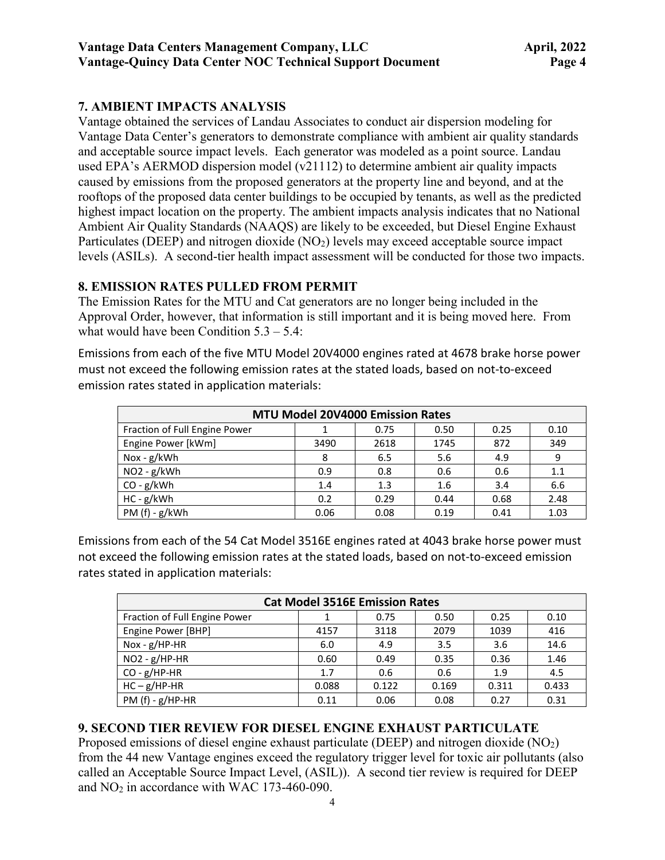# **7. AMBIENT IMPACTS ANALYSIS**

Vantage obtained the services of Landau Associates to conduct air dispersion modeling for Vantage Data Center's generators to demonstrate compliance with ambient air quality standards and acceptable source impact levels. Each generator was modeled as a point source. Landau used EPA's AERMOD dispersion model (v21112) to determine ambient air quality impacts caused by emissions from the proposed generators at the property line and beyond, and at the rooftops of the proposed data center buildings to be occupied by tenants, as well as the predicted highest impact location on the property. The ambient impacts analysis indicates that no National Ambient Air Quality Standards (NAAQS) are likely to be exceeded, but Diesel Engine Exhaust Particulates (DEEP) and nitrogen dioxide  $(NO<sub>2</sub>)$  levels may exceed acceptable source impact levels (ASILs). A second-tier health impact assessment will be conducted for those two impacts.

# **8. EMISSION RATES PULLED FROM PERMIT**

The Emission Rates for the MTU and Cat generators are no longer being included in the Approval Order, however, that information is still important and it is being moved here. From what would have been Condition  $5.3 - 5.4$ :

Emissions from each of the five MTU Model 20V4000 engines rated at 4678 brake horse power must not exceed the following emission rates at the stated loads, based on not-to-exceed emission rates stated in application materials:

| <b>MTU Model 20V4000 Emission Rates</b> |      |      |      |      |      |  |  |  |
|-----------------------------------------|------|------|------|------|------|--|--|--|
| Fraction of Full Engine Power           |      | 0.75 | 0.50 | 0.25 | 0.10 |  |  |  |
| Engine Power [kWm]                      | 3490 | 2618 | 1745 | 872  | 349  |  |  |  |
| $Nox - g/kWh$                           | 8    | 6.5  | 5.6  | 4.9  | 9    |  |  |  |
| $NO2 - g/kWh$                           | 0.9  | 0.8  | 0.6  | 0.6  | 1.1  |  |  |  |
| $CO - g/kWh$                            | 1.4  | 1.3  | 1.6  | 3.4  | 6.6  |  |  |  |
| $HC - g/kWh$                            | 0.2  | 0.29 | 0.44 | 0.68 | 2.48 |  |  |  |
| PM (f) - g/kWh                          | 0.06 | 0.08 | 0.19 | 0.41 | 1.03 |  |  |  |

Emissions from each of the 54 Cat Model 3516E engines rated at 4043 brake horse power must not exceed the following emission rates at the stated loads, based on not-to-exceed emission rates stated in application materials:

| <b>Cat Model 3516E Emission Rates</b> |       |       |       |       |       |  |  |
|---------------------------------------|-------|-------|-------|-------|-------|--|--|
| Fraction of Full Engine Power         |       | 0.75  | 0.50  | 0.25  | 0.10  |  |  |
| Engine Power [BHP]                    | 4157  | 3118  | 2079  | 1039  | 416   |  |  |
| Nox - $g$ /HP-HR                      | 6.0   | 4.9   | 3.5   | 3.6   | 14.6  |  |  |
| $NO2 - g/HP-HR$                       | 0.60  | 0.49  | 0.35  | 0.36  | 1.46  |  |  |
| $CO - g/HP-HR$                        | 1.7   | 0.6   | 0.6   | 1.9   | 4.5   |  |  |
| $HC - g/HP-HR$                        | 0.088 | 0.122 | 0.169 | 0.311 | 0.433 |  |  |
| PM $(f) - g/HP-HR$                    | 0.11  | 0.06  | 0.08  | 0.27  | 0.31  |  |  |

# **9. SECOND TIER REVIEW FOR DIESEL ENGINE EXHAUST PARTICULATE**

Proposed emissions of diesel engine exhaust particulate (DEEP) and nitrogen dioxide  $(NO<sub>2</sub>)$ from the 44 new Vantage engines exceed the regulatory trigger level for toxic air pollutants (also called an Acceptable Source Impact Level, (ASIL)). A second tier review is required for DEEP and NO2 in accordance with WAC 173-460-090.